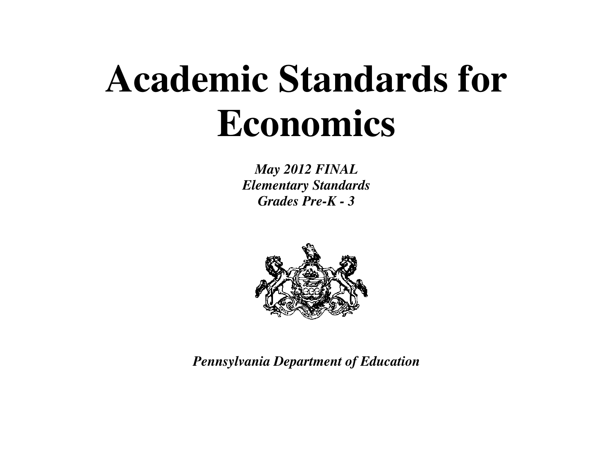# **Academic Standards for Economics**

*May 2012 FINAL Elementary Standards Grades Pre-K - 3* 



*Pennsylvania Department of Education*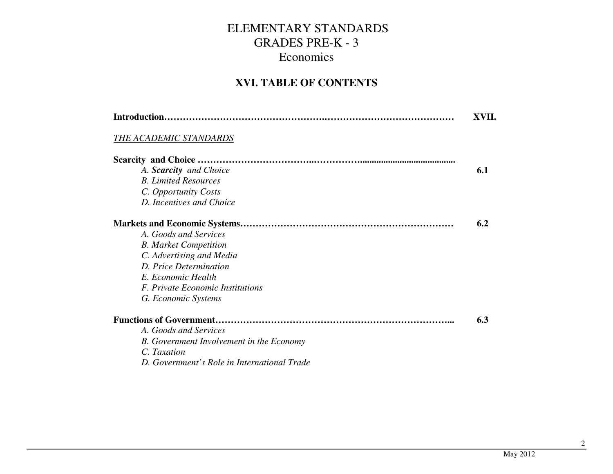#### **XVI. TABLE OF CONTENTS**

|                                                 | XVII. |
|-------------------------------------------------|-------|
| THE ACADEMIC STANDARDS                          |       |
|                                                 |       |
| A. Scarcity and Choice                          | 6.1   |
| <b>B.</b> Limited Resources                     |       |
| C. Opportunity Costs                            |       |
| D. Incentives and Choice                        |       |
|                                                 | 6.2   |
| A. Goods and Services                           |       |
| <b>B.</b> Market Competition                    |       |
| C. Advertising and Media                        |       |
| D. Price Determination                          |       |
| E. Economic Health                              |       |
| <i>F. Private Economic Institutions</i>         |       |
| G. Economic Systems                             |       |
|                                                 | 6.3   |
| A. Goods and Services                           |       |
| <b>B.</b> Government Involvement in the Economy |       |
| C. Taxation                                     |       |
| D. Government's Role in International Trade     |       |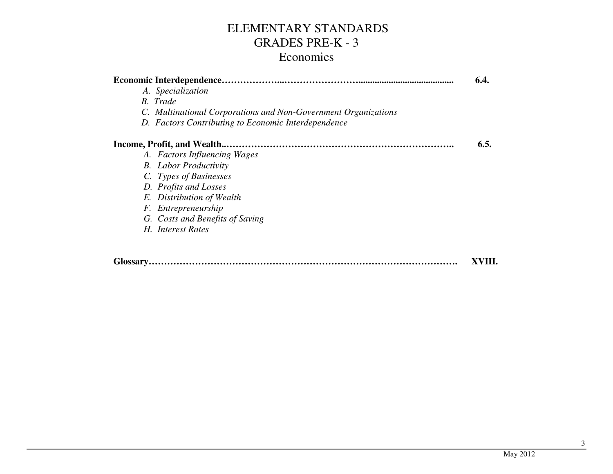|                                                                | 6.4. |
|----------------------------------------------------------------|------|
| A. Specialization                                              |      |
| <b>B.</b> Trade                                                |      |
| C. Multinational Corporations and Non-Government Organizations |      |
| D. Factors Contributing to Economic Interdependence            |      |
|                                                                | 6.5. |
| A. Factors Influencing Wages                                   |      |
| <b>B.</b> Labor Productivity                                   |      |
| C. Types of Businesses                                         |      |
| D. Profits and Losses                                          |      |
| E. Distribution of Wealth                                      |      |
| F. Entrepreneurship                                            |      |
| G. Costs and Benefits of Saving                                |      |
| H. Interest Rates                                              |      |
|                                                                |      |
|                                                                |      |

**Glossary……………………………………………………………………………………….XVIII.**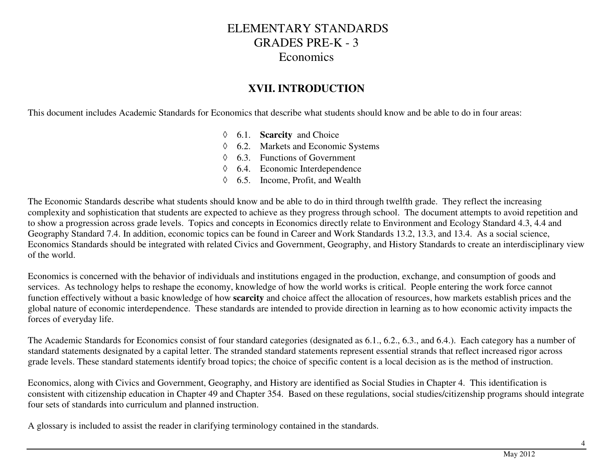#### **XVII. INTRODUCTION**

This document includes Academic Standards for Economics that describe what students should know and be able to do in four areas:

- ◊ 6.1. **Scarcity** and Choice
- ◊ 6.2. Markets and Economic Systems
- ◊ 6.3. Functions of Government
- ◊ 6.4. Economic Interdependence
- ◊ 6.5. Income, Profit, and Wealth

The Economic Standards describe what students should know and be able to do in third through twelfth grade. They reflect the increasing complexity and sophistication that students are expected to achieve as they progress through school. The document attempts to avoid repetition and to show a progression across grade levels. Topics and concepts in Economics directly relate to Environment and Ecology Standard 4.3, 4.4 and Geography Standard 7.4. In addition, economic topics can be found in Career and Work Standards 13.2, 13.3, and 13.4. As a social science, Economics Standards should be integrated with related Civics and Government, Geography, and History Standards to create an interdisciplinary view of the world.

Economics is concerned with the behavior of individuals and institutions engaged in the production, exchange, and consumption of goods and services. As technology helps to reshape the economy, knowledge of how the world works is critical. People entering the work force cannot function effectively without a basic knowledge of how **scarcity** and choice affect the allocation of resources, how markets establish prices and the global nature of economic interdependence. These standards are intended to provide direction in learning as to how economic activity impacts the forces of everyday life.

The Academic Standards for Economics consist of four standard categories (designated as 6.1., 6.2., 6.3., and 6.4.). Each category has a number of standard statements designated by a capital letter. The stranded standard statements represent essential strands that reflect increased rigor across grade levels. These standard statements identify broad topics; the choice of specific content is a local decision as is the method of instruction.

Economics, along with Civics and Government, Geography, and History are identified as Social Studies in Chapter 4. This identification is consistent with citizenship education in Chapter 49 and Chapter 354. Based on these regulations, social studies/citizenship programs should integrate four sets of standards into curriculum and planned instruction.

A glossary is included to assist the reader in clarifying terminology contained in the standards.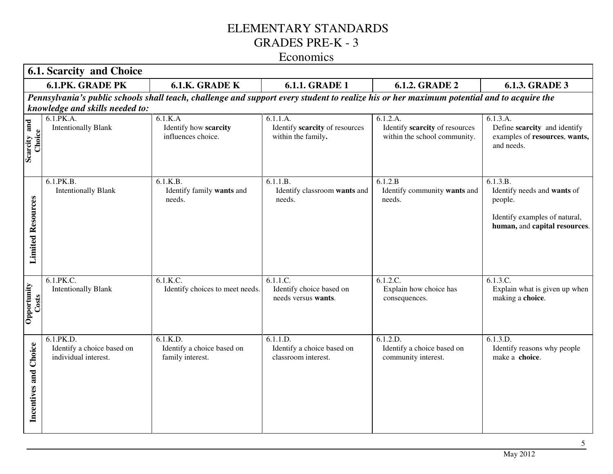|                          | <b>6.1. Scarcity and Choice</b>                                 |                                                                                                                                           |                                                                  |                                                                            |                                                                                                                      |  |  |
|--------------------------|-----------------------------------------------------------------|-------------------------------------------------------------------------------------------------------------------------------------------|------------------------------------------------------------------|----------------------------------------------------------------------------|----------------------------------------------------------------------------------------------------------------------|--|--|
|                          | <b>6.1.PK. GRADE PK</b>                                         | 6.1.K. GRADE K                                                                                                                            | <b>6.1.1. GRADE 1</b>                                            | <b>6.1.2. GRADE 2</b>                                                      | <b>6.1.3. GRADE 3</b>                                                                                                |  |  |
|                          | knowledge and skills needed to:                                 | Pennsylvania's public schools shall teach, challenge and support every student to realize his or her maximum potential and to acquire the |                                                                  |                                                                            |                                                                                                                      |  |  |
| Scarcity and<br>Choice   | 6.1.PK.A.<br><b>Intentionally Blank</b>                         | 6.1.K.A<br>Identify how scarcity<br>influences choice.                                                                                    | 6.1.1.A.<br>Identify scarcity of resources<br>within the family. | 6.1.2.A.<br>Identify scarcity of resources<br>within the school community. | 6.1.3.A.<br>Define scarcity and identify<br>examples of resources, wants,<br>and needs.                              |  |  |
| <b>Limited Resources</b> | 6.1.PK.B.<br><b>Intentionally Blank</b>                         | 6.1.K.B.<br>Identify family wants and<br>needs.                                                                                           | 6.1.1.B.<br>Identify classroom wants and<br>needs.               | 6.1.2.B<br>Identify community wants and<br>needs.                          | 6.1.3.B.<br>Identify needs and wants of<br>people.<br>Identify examples of natural,<br>human, and capital resources. |  |  |
| Opportunity<br>Costs     | 6.1.PK.C.<br><b>Intentionally Blank</b>                         | 6.1.K.C.<br>Identify choices to meet needs.                                                                                               | 6.1.1.C.<br>Identify choice based on<br>needs versus wants.      | 6.1.2.C.<br>Explain how choice has<br>consequences.                        | 6.1.3.C.<br>Explain what is given up when<br>making a choice.                                                        |  |  |
| Incentives and Choice    | 6.1.PK.D.<br>Identify a choice based on<br>individual interest. | 6.1.K.D.<br>Identify a choice based on<br>family interest.                                                                                | 6.1.1.D.<br>Identify a choice based on<br>classroom interest.    | 6.1.2.D.<br>Identify a choice based on<br>community interest.              | 6.1.3.D.<br>Identify reasons why people<br>make a choice.                                                            |  |  |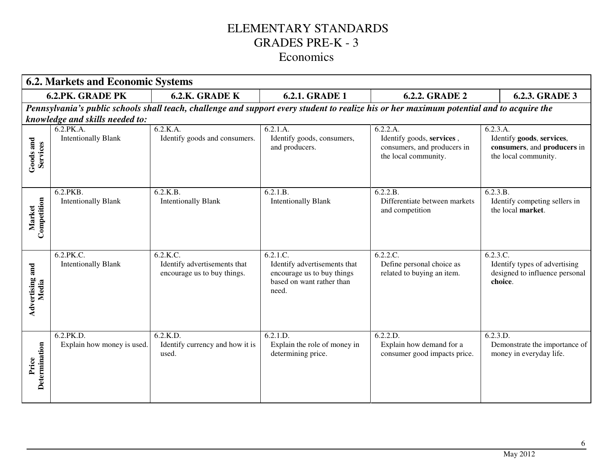|                          | <b>6.2. Markets and Economic Systems</b> |                                                                         |                                                                                                                           |                                                                                                                                           |                                                                                              |  |  |
|--------------------------|------------------------------------------|-------------------------------------------------------------------------|---------------------------------------------------------------------------------------------------------------------------|-------------------------------------------------------------------------------------------------------------------------------------------|----------------------------------------------------------------------------------------------|--|--|
|                          | <b>6.2.PK. GRADE PK</b>                  | 6.2.K. GRADE K                                                          | <b>6.2.1. GRADE 1</b>                                                                                                     | <b>6.2.2. GRADE 2</b>                                                                                                                     | 6.2.3. GRADE 3                                                                               |  |  |
|                          |                                          |                                                                         |                                                                                                                           | Pennsylvania's public schools shall teach, challenge and support every student to realize his or her maximum potential and to acquire the |                                                                                              |  |  |
|                          | knowledge and skills needed to:          |                                                                         |                                                                                                                           |                                                                                                                                           |                                                                                              |  |  |
| Goods and<br>Services    | 6.2.PK.A.<br><b>Intentionally Blank</b>  | 6.2.K.A.<br>Identify goods and consumers.                               | 6.2.1.A.<br>Identify goods, consumers,<br>and producers.                                                                  | 6.2.2.A.<br>Identify goods, services,<br>consumers, and producers in<br>the local community.                                              | 6.2.3.A.<br>Identify goods, services,<br>consumers, and producers in<br>the local community. |  |  |
| Competition<br>Market    | 6.2.PKB.<br><b>Intentionally Blank</b>   | 6.2.K.B.<br><b>Intentionally Blank</b>                                  | 6.2.1.B.<br><b>Intentionally Blank</b>                                                                                    | 6.2.2.B.<br>Differentiate between markets<br>and competition                                                                              | 6.2.3.B.<br>Identify competing sellers in<br>the local market.                               |  |  |
| Advertising and<br>Media | 6.2.PK.C.<br><b>Intentionally Blank</b>  | 6.2.K.C.<br>Identify advertisements that<br>encourage us to buy things. | $6.2.\overline{1.C.}$<br>Identify advertisements that<br>encourage us to buy things<br>based on want rather than<br>need. | 6.2.2.C.<br>Define personal choice as<br>related to buying an item.                                                                       | 6.2.3.C.<br>Identify types of advertising<br>designed to influence personal<br>choice.       |  |  |
| Determination<br>Price   | 6.2.PK.D.<br>Explain how money is used.  | 6.2.K.D.<br>Identify currency and how it is<br>used.                    | 6.2.1.D.<br>Explain the role of money in<br>determining price.                                                            | 6.2.2.D.<br>Explain how demand for a<br>consumer good impacts price.                                                                      | 6.2.3.D.<br>Demonstrate the importance of<br>money in everyday life.                         |  |  |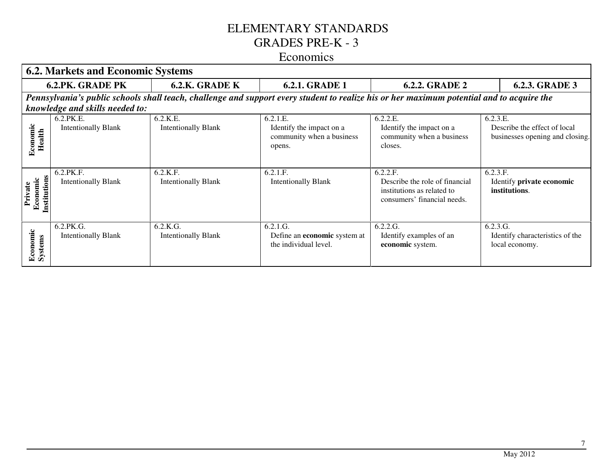|                                     | <b>6.2. Markets and Economic Systems</b> |                                                                                                                                           |                                                                             |                                                                                                         |                                                                             |  |  |
|-------------------------------------|------------------------------------------|-------------------------------------------------------------------------------------------------------------------------------------------|-----------------------------------------------------------------------------|---------------------------------------------------------------------------------------------------------|-----------------------------------------------------------------------------|--|--|
|                                     | <b>6.2.PK. GRADE PK</b>                  | 6.2.K. GRADE K                                                                                                                            | <b>6.2.1. GRADE 1</b>                                                       | <b>6.2.2. GRADE 2</b>                                                                                   | <b>6.2.3. GRADE 3</b>                                                       |  |  |
|                                     |                                          | Pennsylvania's public schools shall teach, challenge and support every student to realize his or her maximum potential and to acquire the |                                                                             |                                                                                                         |                                                                             |  |  |
|                                     | knowledge and skills needed to:          |                                                                                                                                           |                                                                             |                                                                                                         |                                                                             |  |  |
| Economic<br>Health                  | 6.2.PK.E.<br><b>Intentionally Blank</b>  | 6.2.K.E.<br><b>Intentionally Blank</b>                                                                                                    | 6.2.1.E.<br>Identify the impact on a<br>community when a business<br>opens. | 6.2.2.E.<br>Identify the impact on a<br>community when a business<br>closes.                            | 6.2.3.E.<br>Describe the effect of local<br>businesses opening and closing. |  |  |
| Institutions<br>Economic<br>Private | 6.2.PK.F.<br><b>Intentionally Blank</b>  | 6.2.K.F.<br><b>Intentionally Blank</b>                                                                                                    | 6.2.1.F.<br><b>Intentionally Blank</b>                                      | 6.2.2.F.<br>Describe the role of financial<br>institutions as related to<br>consumers' financial needs. | 6.2.3.F.<br>Identify private economic<br>institutions.                      |  |  |
| Economic<br>Systems                 | 6.2.PK.G.<br><b>Intentionally Blank</b>  | 6.2.K.G.<br><b>Intentionally Blank</b>                                                                                                    | 6.2.1.G.<br>Define an economic system at<br>the individual level.           | 6.2.2.G.<br>Identify examples of an<br>economic system.                                                 | 6.2.3.G.<br>Identify characteristics of the<br>local economy.               |  |  |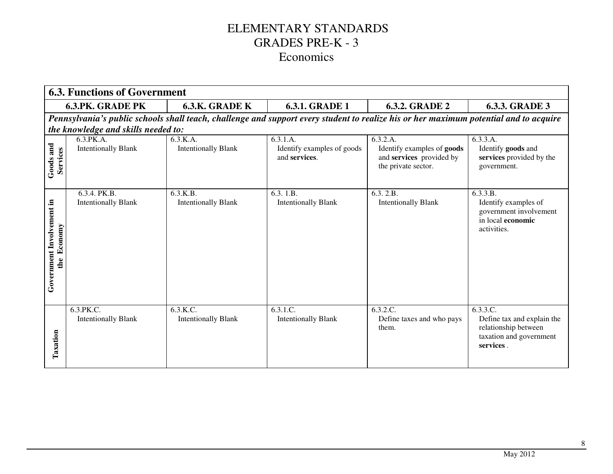|                                          | <b>6.3. Functions of Government</b>        |                                        |                                                         |                                                                                                                                       |                                                                                                        |  |
|------------------------------------------|--------------------------------------------|----------------------------------------|---------------------------------------------------------|---------------------------------------------------------------------------------------------------------------------------------------|--------------------------------------------------------------------------------------------------------|--|
|                                          | <b>6.3.PK. GRADE PK</b>                    | 6.3.K. GRADE K                         | <b>6.3.1. GRADE 1</b>                                   | <b>6.3.2. GRADE 2</b>                                                                                                                 | <b>6.3.3. GRADE 3</b>                                                                                  |  |
|                                          | the knowledge and skills needed to:        |                                        |                                                         | Pennsylvania's public schools shall teach, challenge and support every student to realize his or her maximum potential and to acquire |                                                                                                        |  |
| Goods and<br>Services                    | 6.3.PK.A.<br><b>Intentionally Blank</b>    | 6.3.K.A.<br><b>Intentionally Blank</b> | 6.3.1.A.<br>Identify examples of goods<br>and services. | 6.3.2.A.<br>Identify examples of goods<br>and services provided by<br>the private sector.                                             | 6.3.3.A.<br>Identify goods and<br>services provided by the<br>government.                              |  |
| Government Involvement in<br>the Economy | 6.3.4. PK.B.<br><b>Intentionally Blank</b> | 6.3.K.B.<br><b>Intentionally Blank</b> | 6.3. 1.B.<br><b>Intentionally Blank</b>                 | 6.3.2.B.<br><b>Intentionally Blank</b>                                                                                                | 6.3.3.B.<br>Identify examples of<br>government involvement<br>in local economic<br>activities.         |  |
| Taxation                                 | 6.3.PK.C.<br><b>Intentionally Blank</b>    | 6.3.K.C.<br><b>Intentionally Blank</b> | 6.3.1.C.<br><b>Intentionally Blank</b>                  | 6.3.2.C.<br>Define taxes and who pays<br>them.                                                                                        | 6.3.3.C.<br>Define tax and explain the<br>relationship between<br>taxation and government<br>services. |  |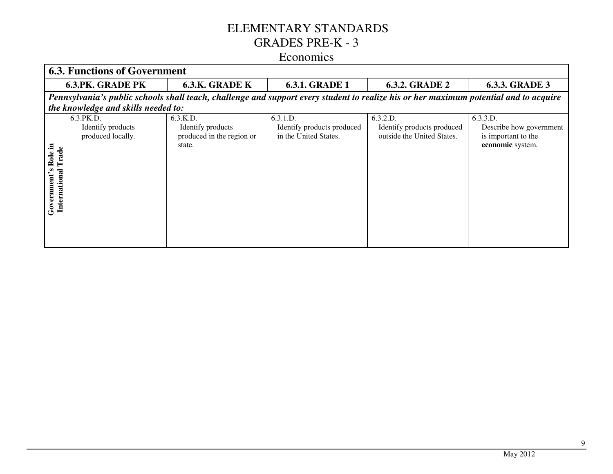|                                                      | <b>6.3. Functions of Government</b>                                                                                                   |                                                                      |                                                                 |                                                                      |                                                                                |  |  |  |
|------------------------------------------------------|---------------------------------------------------------------------------------------------------------------------------------------|----------------------------------------------------------------------|-----------------------------------------------------------------|----------------------------------------------------------------------|--------------------------------------------------------------------------------|--|--|--|
|                                                      | <b>6.3.PK. GRADE PK</b>                                                                                                               | 6.3.K. GRADE K                                                       | <b>6.3.1. GRADE 1</b>                                           | <b>6.3.2. GRADE 2</b>                                                | <b>6.3.3. GRADE 3</b>                                                          |  |  |  |
|                                                      | Pennsylvania's public schools shall teach, challenge and support every student to realize his or her maximum potential and to acquire |                                                                      |                                                                 |                                                                      |                                                                                |  |  |  |
|                                                      | the knowledge and skills needed to:                                                                                                   |                                                                      |                                                                 |                                                                      |                                                                                |  |  |  |
| 르.<br>Trade<br>Role<br>Government's<br>International | 6.3.PK.D.<br>Identify products<br>produced locally.                                                                                   | 6.3.K.D.<br>Identify products<br>produced in the region or<br>state. | 6.3.1.D.<br>Identify products produced<br>in the United States. | 6.3.2.D.<br>Identify products produced<br>outside the United States. | 6.3.3.D.<br>Describe how government<br>is important to the<br>economic system. |  |  |  |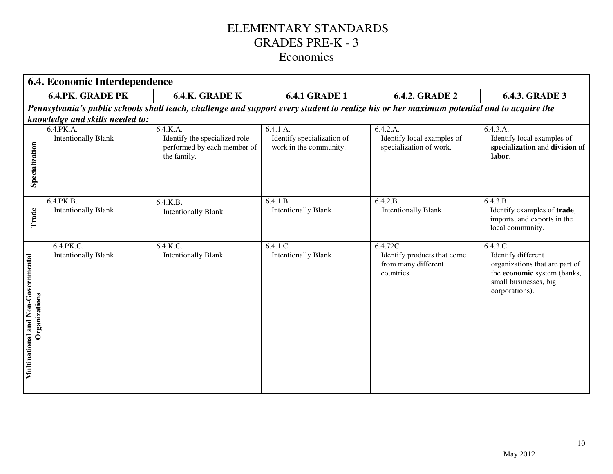|                                                        | 6.4. Economic Interdependence                                                                                                             |                                                                                         |                                                                  |                                                                              |                                                                                                                                            |
|--------------------------------------------------------|-------------------------------------------------------------------------------------------------------------------------------------------|-----------------------------------------------------------------------------------------|------------------------------------------------------------------|------------------------------------------------------------------------------|--------------------------------------------------------------------------------------------------------------------------------------------|
|                                                        | <b>6.4.PK. GRADE PK</b>                                                                                                                   | 6.4.K. GRADE K                                                                          | <b>6.4.1 GRADE 1</b>                                             | <b>6.4.2. GRADE 2</b>                                                        | <b>6.4.3. GRADE 3</b>                                                                                                                      |
|                                                        | Pennsylvania's public schools shall teach, challenge and support every student to realize his or her maximum potential and to acquire the |                                                                                         |                                                                  |                                                                              |                                                                                                                                            |
|                                                        | knowledge and skills needed to:                                                                                                           |                                                                                         |                                                                  |                                                                              |                                                                                                                                            |
| Specialization                                         | 6.4.PK.A.<br><b>Intentionally Blank</b>                                                                                                   | 6.4.K.A.<br>Identify the specialized role<br>performed by each member of<br>the family. | 6.4.1.A.<br>Identify specialization of<br>work in the community. | 6.4.2.A.<br>Identify local examples of<br>specialization of work.            | 6.4.3.A.<br>Identify local examples of<br>specialization and division of<br>labor.                                                         |
| Trade                                                  | 6.4.PK.B.<br><b>Intentionally Blank</b>                                                                                                   | 6.4.K.B.<br><b>Intentionally Blank</b>                                                  | 6.4.1.B.<br><b>Intentionally Blank</b>                           | 6.4.2.B.<br><b>Intentionally Blank</b>                                       | 6.4.3.B.<br>Identify examples of trade,<br>imports, and exports in the<br>local community.                                                 |
| Non-Governmental<br>Organizations<br>Multinational and | 6.4.PK.C.<br><b>Intentionally Blank</b>                                                                                                   | 6.4.K.C.<br><b>Intentionally Blank</b>                                                  | 6.4.1.C.<br><b>Intentionally Blank</b>                           | 6.4.72C.<br>Identify products that come<br>from many different<br>countries. | 6.4.3.C.<br>Identify different<br>organizations that are part of<br>the economic system (banks,<br>small businesses, big<br>corporations). |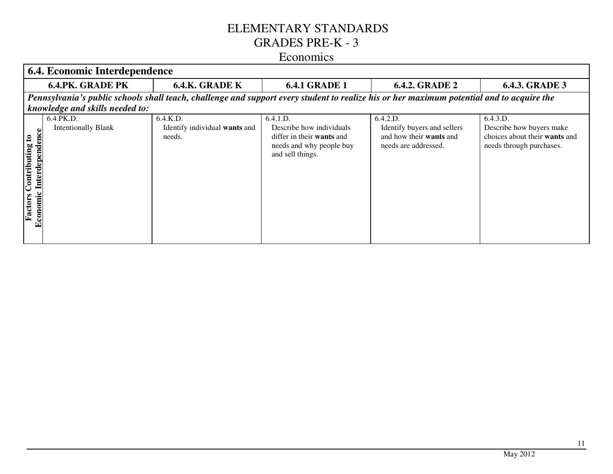|                                                                      | 6.4. Economic Interdependence           |                                                                                                                                           |                                                                                                                          |                                                                                            |                                                                                                   |  |
|----------------------------------------------------------------------|-----------------------------------------|-------------------------------------------------------------------------------------------------------------------------------------------|--------------------------------------------------------------------------------------------------------------------------|--------------------------------------------------------------------------------------------|---------------------------------------------------------------------------------------------------|--|
|                                                                      | <b>6.4.PK. GRADE PK</b>                 | <b>6.4.K. GRADE K</b>                                                                                                                     | <b>6.4.1 GRADE 1</b>                                                                                                     | <b>6.4.2. GRADE 2</b>                                                                      | <b>6.4.3. GRADE 3</b>                                                                             |  |
|                                                                      | knowledge and skills needed to:         | Pennsylvania's public schools shall teach, challenge and support every student to realize his or her maximum potential and to acquire the |                                                                                                                          |                                                                                            |                                                                                                   |  |
| e<br>C<br>Contributing to<br>ā<br>depend<br>Inter<br>Factors<br>Econ | 6.4.PK.D.<br><b>Intentionally Blank</b> | 6.4.K.D.<br>Identify individual wants and<br>needs.                                                                                       | 6.4.1.D.<br>Describe how individuals<br>differ in their <b>wants</b> and<br>needs and why people buy<br>and sell things. | 6.4.2.D.<br>Identify buyers and sellers<br>and how their wants and<br>needs are addressed. | 6.4.3.D.<br>Describe how buyers make<br>choices about their wants and<br>needs through purchases. |  |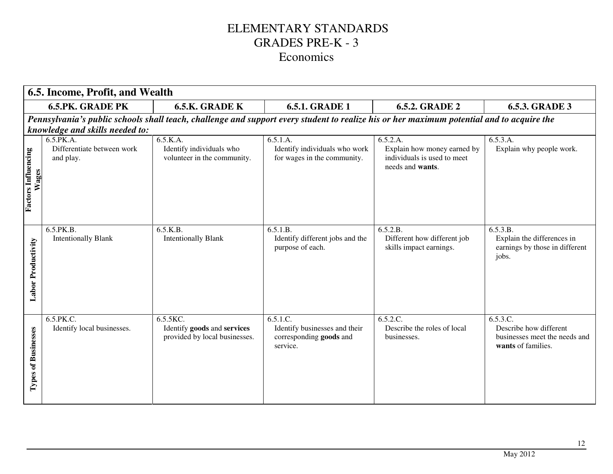|                                     | 6.5. Income, Profit, and Wealth                      |                                                                          |                                                                                                                                           |                                                                                            |                                                                                           |  |
|-------------------------------------|------------------------------------------------------|--------------------------------------------------------------------------|-------------------------------------------------------------------------------------------------------------------------------------------|--------------------------------------------------------------------------------------------|-------------------------------------------------------------------------------------------|--|
|                                     | <b>6.5.PK. GRADE PK</b>                              | 6.5.K. GRADE K                                                           | <b>6.5.1. GRADE 1</b>                                                                                                                     | <b>6.5.2. GRADE 2</b>                                                                      | <b>6.5.3. GRADE 3</b>                                                                     |  |
|                                     | knowledge and skills needed to:                      |                                                                          | Pennsylvania's public schools shall teach, challenge and support every student to realize his or her maximum potential and to acquire the |                                                                                            |                                                                                           |  |
| <b>Factors Influencing</b><br>Wages | 6.5.PK.A.<br>Differentiate between work<br>and play. | 6.5.K.A.<br>Identify individuals who<br>volunteer in the community.      | 6.5.1.A.<br>Identify individuals who work<br>for wages in the community.                                                                  | 6.5.2.A.<br>Explain how money earned by<br>individuals is used to meet<br>needs and wants. | 6.5.3.A.<br>Explain why people work.                                                      |  |
| <b>Labor Productivity</b>           | 6.5.PK.B.<br><b>Intentionally Blank</b>              | 6.5.K.B.<br><b>Intentionally Blank</b>                                   | 6.5.1.B.<br>Identify different jobs and the<br>purpose of each.                                                                           | 6.5.2.B.<br>Different how different job<br>skills impact earnings.                         | 6.5.3.B.<br>Explain the differences in<br>earnings by those in different<br>jobs.         |  |
| <b>Types of Businesses</b>          | 6.5.PK.C.<br>Identify local businesses.              | 6.5.5KC.<br>Identify goods and services<br>provided by local businesses. | $6.\overline{5.1}.\overline{C}$ .<br>Identify businesses and their<br>corresponding goods and<br>service.                                 | 6.5.2.C.<br>Describe the roles of local<br>businesses.                                     | 6.5.3.C.<br>Describe how different<br>businesses meet the needs and<br>wants of families. |  |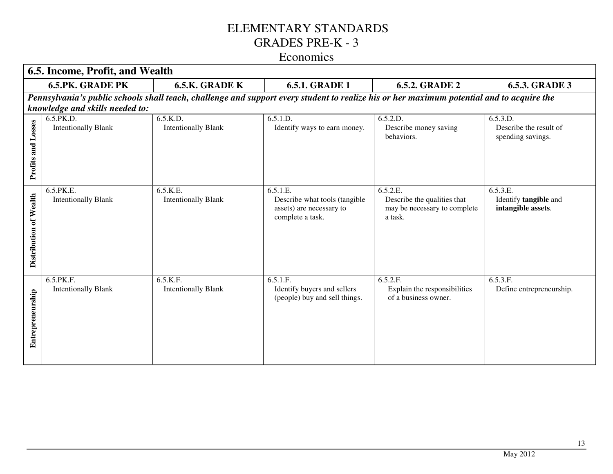|                        | 6.5. Income, Profit, and Wealth         |                                        |                                                                                                                                           |                                                                                    |                                                         |  |  |
|------------------------|-----------------------------------------|----------------------------------------|-------------------------------------------------------------------------------------------------------------------------------------------|------------------------------------------------------------------------------------|---------------------------------------------------------|--|--|
|                        | <b>6.5.PK. GRADE PK</b>                 | 6.5.K. GRADE K                         | <b>6.5.1. GRADE 1</b>                                                                                                                     | <b>6.5.2. GRADE 2</b>                                                              | <b>6.5.3. GRADE 3</b>                                   |  |  |
|                        |                                         |                                        | Pennsylvania's public schools shall teach, challenge and support every student to realize his or her maximum potential and to acquire the |                                                                                    |                                                         |  |  |
|                        | knowledge and skills needed to:         |                                        |                                                                                                                                           |                                                                                    |                                                         |  |  |
| Profits and Losses     | 6.5.PK.D.<br><b>Intentionally Blank</b> | 6.5.K.D.<br><b>Intentionally Blank</b> | 6.5.1.D.<br>Identify ways to earn money.                                                                                                  | 6.5.2.D.<br>Describe money saving<br>behaviors.                                    | 6.5.3.D.<br>Describe the result of<br>spending savings. |  |  |
| Distribution of Wealth | 6.5.PK.E.<br><b>Intentionally Blank</b> | 6.5.K.E.<br><b>Intentionally Blank</b> | 6.5.1.E.<br>Describe what tools (tangible<br>assets) are necessary to<br>complete a task.                                                 | 6.5.2.E.<br>Describe the qualities that<br>may be necessary to complete<br>a task. | 6.5.3.E.<br>Identify tangible and<br>intangible assets. |  |  |
| Entrepreneurship       | 6.5.PK.F.<br><b>Intentionally Blank</b> | 6.5.K.F.<br><b>Intentionally Blank</b> | 6.5.1.F.<br>Identify buyers and sellers<br>(people) buy and sell things.                                                                  | 6.5.2.F.<br>Explain the responsibilities<br>of a business owner.                   | 6.5.3.F.<br>Define entrepreneurship.                    |  |  |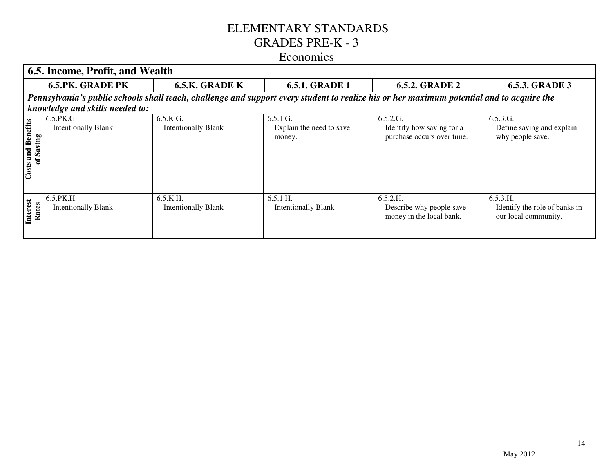|                                 | <b>6.5. Income, Profit, and Wealth</b>                                                                                                    |                                        |                                                |                                                                     |                                                                   |  |  |
|---------------------------------|-------------------------------------------------------------------------------------------------------------------------------------------|----------------------------------------|------------------------------------------------|---------------------------------------------------------------------|-------------------------------------------------------------------|--|--|
|                                 | <b>6.5.PK. GRADE PK</b>                                                                                                                   | 6.5.K. GRADE K                         | <b>6.5.1. GRADE 1</b>                          | <b>6.5.2. GRADE 2</b>                                               | <b>6.5.3. GRADE 3</b>                                             |  |  |
|                                 | Pennsylvania's public schools shall teach, challenge and support every student to realize his or her maximum potential and to acquire the |                                        |                                                |                                                                     |                                                                   |  |  |
|                                 | knowledge and skills needed to:                                                                                                           |                                        |                                                |                                                                     |                                                                   |  |  |
| and Benefits<br>Saving<br>Costs | 6.5.PK.G.<br><b>Intentionally Blank</b>                                                                                                   | 6.5.K.G.<br><b>Intentionally Blank</b> | 6.5.1.G.<br>Explain the need to save<br>money. | 6.5.2.G.<br>Identify how saving for a<br>purchase occurs over time. | 6.5.3.G.<br>Define saving and explain<br>why people save.         |  |  |
| Interest<br>Rates               | 6.5.PK.H.<br><b>Intentionally Blank</b>                                                                                                   | 6.5.K.H.<br><b>Intentionally Blank</b> | 6.5.1.H.<br><b>Intentionally Blank</b>         | 6.5.2.H.<br>Describe why people save<br>money in the local bank.    | 6.5.3.H.<br>Identify the role of banks in<br>our local community. |  |  |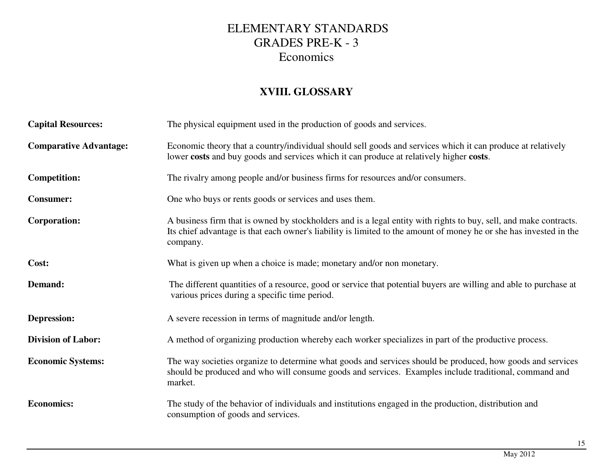#### **XVIII. GLOSSARY**

| <b>Capital Resources:</b>     | The physical equipment used in the production of goods and services.                                                                                                                                                                                |
|-------------------------------|-----------------------------------------------------------------------------------------------------------------------------------------------------------------------------------------------------------------------------------------------------|
| <b>Comparative Advantage:</b> | Economic theory that a country/individual should sell goods and services which it can produce at relatively<br>lower costs and buy goods and services which it can produce at relatively higher costs.                                              |
| <b>Competition:</b>           | The rivalry among people and/or business firms for resources and/or consumers.                                                                                                                                                                      |
| <b>Consumer:</b>              | One who buys or rents goods or services and uses them.                                                                                                                                                                                              |
| <b>Corporation:</b>           | A business firm that is owned by stockholders and is a legal entity with rights to buy, sell, and make contracts.<br>Its chief advantage is that each owner's liability is limited to the amount of money he or she has invested in the<br>company. |
| Cost:                         | What is given up when a choice is made; monetary and/or non monetary.                                                                                                                                                                               |
| Demand:                       | The different quantities of a resource, good or service that potential buyers are willing and able to purchase at<br>various prices during a specific time period.                                                                                  |
| <b>Depression:</b>            | A severe recession in terms of magnitude and/or length.                                                                                                                                                                                             |
| <b>Division of Labor:</b>     | A method of organizing production whereby each worker specializes in part of the productive process.                                                                                                                                                |
| <b>Economic Systems:</b>      | The way societies organize to determine what goods and services should be produced, how goods and services<br>should be produced and who will consume goods and services. Examples include traditional, command and<br>market.                      |
| <b>Economics:</b>             | The study of the behavior of individuals and institutions engaged in the production, distribution and<br>consumption of goods and services.                                                                                                         |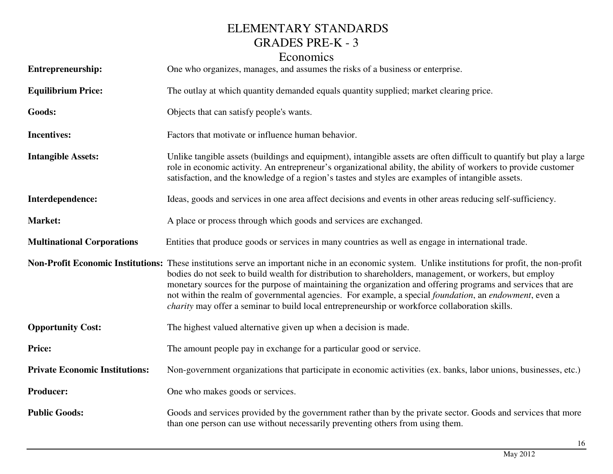| <b>Entrepreneurship:</b>              | One who organizes, manages, and assumes the risks of a business or enterprise.                                                                                                                                                                                                                                                                                                                                                                                                                                                                                                             |
|---------------------------------------|--------------------------------------------------------------------------------------------------------------------------------------------------------------------------------------------------------------------------------------------------------------------------------------------------------------------------------------------------------------------------------------------------------------------------------------------------------------------------------------------------------------------------------------------------------------------------------------------|
| <b>Equilibrium Price:</b>             | The outlay at which quantity demanded equals quantity supplied; market clearing price.                                                                                                                                                                                                                                                                                                                                                                                                                                                                                                     |
| Goods:                                | Objects that can satisfy people's wants.                                                                                                                                                                                                                                                                                                                                                                                                                                                                                                                                                   |
| <b>Incentives:</b>                    | Factors that motivate or influence human behavior.                                                                                                                                                                                                                                                                                                                                                                                                                                                                                                                                         |
| <b>Intangible Assets:</b>             | Unlike tangible assets (buildings and equipment), intangible assets are often difficult to quantify but play a large<br>role in economic activity. An entrepreneur's organizational ability, the ability of workers to provide customer<br>satisfaction, and the knowledge of a region's tastes and styles are examples of intangible assets.                                                                                                                                                                                                                                              |
| Interdependence:                      | Ideas, goods and services in one area affect decisions and events in other areas reducing self-sufficiency.                                                                                                                                                                                                                                                                                                                                                                                                                                                                                |
| Market:                               | A place or process through which goods and services are exchanged.                                                                                                                                                                                                                                                                                                                                                                                                                                                                                                                         |
| <b>Multinational Corporations</b>     | Entities that produce goods or services in many countries as well as engage in international trade.                                                                                                                                                                                                                                                                                                                                                                                                                                                                                        |
|                                       | Non-Profit Economic Institutions: These institutions serve an important niche in an economic system. Unlike institutions for profit, the non-profit<br>bodies do not seek to build wealth for distribution to shareholders, management, or workers, but employ<br>monetary sources for the purpose of maintaining the organization and offering programs and services that are<br>not within the realm of governmental agencies. For example, a special foundation, an endowment, even a<br>charity may offer a seminar to build local entrepreneurship or workforce collaboration skills. |
| <b>Opportunity Cost:</b>              | The highest valued alternative given up when a decision is made.                                                                                                                                                                                                                                                                                                                                                                                                                                                                                                                           |
| Price:                                | The amount people pay in exchange for a particular good or service.                                                                                                                                                                                                                                                                                                                                                                                                                                                                                                                        |
| <b>Private Economic Institutions:</b> | Non-government organizations that participate in economic activities (ex. banks, labor unions, businesses, etc.)                                                                                                                                                                                                                                                                                                                                                                                                                                                                           |
| <b>Producer:</b>                      | One who makes goods or services.                                                                                                                                                                                                                                                                                                                                                                                                                                                                                                                                                           |
| <b>Public Goods:</b>                  | Goods and services provided by the government rather than by the private sector. Goods and services that more<br>than one person can use without necessarily preventing others from using them.                                                                                                                                                                                                                                                                                                                                                                                            |